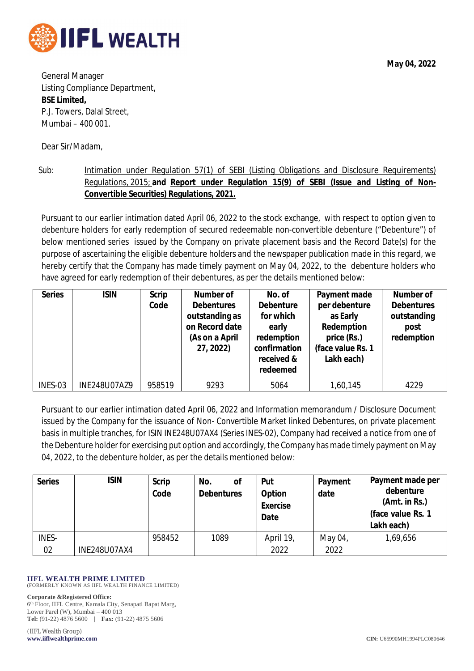

**May 04, 2022**

General Manager Listing Compliance Department, **BSE Limited,** P.J. Towers, Dalal Street, Mumbai – 400 001.

Dear Sir/Madam,

Sub: Intimation under Regulation 57(1) of SEBI (Listing Obligations and Disclosure Requirements) Regulations, 2015; **and Report under Regulation 15(9) of SEBI (Issue and Listing of Non-Convertible Securities) Regulations, 2021.**

Pursuant to our earlier intimation dated April 06, 2022 to the stock exchange, with respect to option given to debenture holders for early redemption of secured redeemable non-convertible debenture ("Debenture") of below mentioned series issued by the Company on private placement basis and the Record Date(s) for the purpose of ascertaining the eligible debenture holders and the newspaper publication made in this regard, we hereby certify that the Company has made timely payment on May 04, 2022, to the debenture holders who have agreed for early redemption of their debentures, as per the details mentioned below:

| <b>Series</b> | <b>ISIN</b>         | <b>Scrip</b><br>Code | <b>Number of</b><br><b>Debentures</b><br>outstanding as<br>on Record date<br>(As on a April<br>27, 2022) | No. of<br><b>Debenture</b><br>for which<br>early<br>redemption<br>confirmation<br>received &<br>redeemed | Payment made<br>per debenture<br>as Early<br>Redemption<br>price (Rs.)<br>(face value Rs. 1<br>Lakh each) | Number of<br><b>Debentures</b><br>outstanding<br>post<br>redemption |
|---------------|---------------------|----------------------|----------------------------------------------------------------------------------------------------------|----------------------------------------------------------------------------------------------------------|-----------------------------------------------------------------------------------------------------------|---------------------------------------------------------------------|
| INES-03       | <b>INE248U07AZ9</b> | 958519               | 9293                                                                                                     | 5064                                                                                                     | 1,60,145                                                                                                  | 4229                                                                |

Pursuant to our earlier intimation dated April 06, 2022 and Information memorandum / Disclosure Document issued by the Company for the issuance of Non- Convertible Market linked Debentures, on private placement basis in multiple tranches, for ISIN INE248U07AX4 (Series INES-02), Company had received a notice from one of the Debenture holder for exercising put option and accordingly, the Company has made timely payment on May 04, 2022, to the debenture holder, as per the details mentioned below:

| <b>Series</b> | <b>ISIN</b>         | <b>Scrip</b><br>Code | No.<br>οf<br><b>Debentures</b> | Put<br><b>Option</b><br><b>Exercise</b><br>Date | Payment<br>date | Payment made per<br>debenture<br>(Amt. in Rs.)<br>(face value Rs. 1<br>Lakh each) |
|---------------|---------------------|----------------------|--------------------------------|-------------------------------------------------|-----------------|-----------------------------------------------------------------------------------|
| <b>INES-</b>  |                     | 958452               | 1089                           | April 19,                                       | May 04,         | 1,69,656                                                                          |
| 02            | <b>INE248U07AX4</b> |                      |                                | 2022                                            | 2022            |                                                                                   |

## **IIFL WEALTH PRIME LIMITED** (FORMERLY KNOWN AS IIFL WEALTH FINANCE LIMITED)

**Corporate &Registered Office:**

6 th Floor, IIFL Centre, Kamala City, Senapati Bapat Marg, Lower Parel (W), Mumbai – 400 013 **Tel:** (91-22) 4876 5600 | **Fax:** (91-22) 4875 5606

(IIFL Wealth Group) **www.iiflwealthprime.com CIN:** U65990MH1994PLC080646